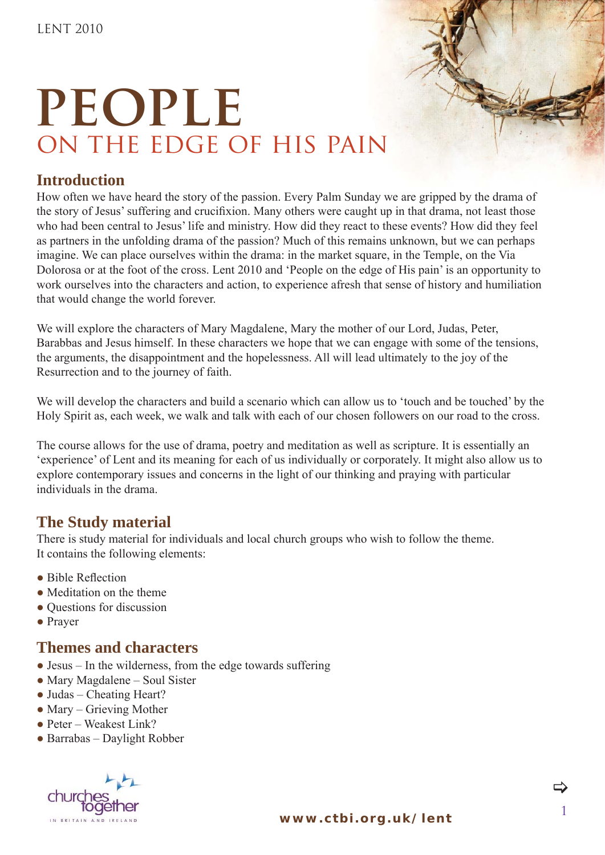#### **Introduction**

How often we have heard the story of the passion. Every Palm Sunday we are gripped by the drama of the story of Jesus' suffering and crucifixion. Many others were caught up in that drama, not least those who had been central to Jesus' life and ministry. How did they react to these events? How did they feel as partners in the unfolding drama of the passion? Much of this remains unknown, but we can perhaps imagine. We can place ourselves within the drama: in the market square, in the Temple, on the Via Dolorosa or at the foot of the cross. Lent 2010 and 'People on the edge of His pain' is an opportunity to work ourselves into the characters and action, to experience afresh that sense of history and humiliation that would change the world forever.

We will explore the characters of Mary Magdalene, Mary the mother of our Lord, Judas, Peter, Barabbas and Jesus himself. In these characters we hope that we can engage with some of the tensions, the arguments, the disappointment and the hopelessness. All will lead ultimately to the joy of the Resurrection and to the journey of faith.

We will develop the characters and build a scenario which can allow us to 'touch and be touched' by the Holy Spirit as, each week, we walk and talk with each of our chosen followers on our road to the cross.

The course allows for the use of drama, poetry and meditation as well as scripture. It is essentially an 'experience' of Lent and its meaning for each of us individually or corporately. It might also allow us to explore contemporary issues and concerns in the light of our thinking and praying with particular individuals in the drama.

#### **The Study material**

There is study material for individuals and local church groups who wish to follow the theme. It contains the following elements:

- $\bullet$  Bible Reflection
- Meditation on the theme
- Questions for discussion
- Prayer

#### **Themes and characters**

- $\bullet$  Jesus In the wilderness, from the edge towards suffering
- Mary Magdalene Soul Sister
- Judas Cheating Heart?
- $\bullet$  Mary Grieving Mother
- Peter Weakest Link?
- $\bullet$  Barrabas Daylight Robber

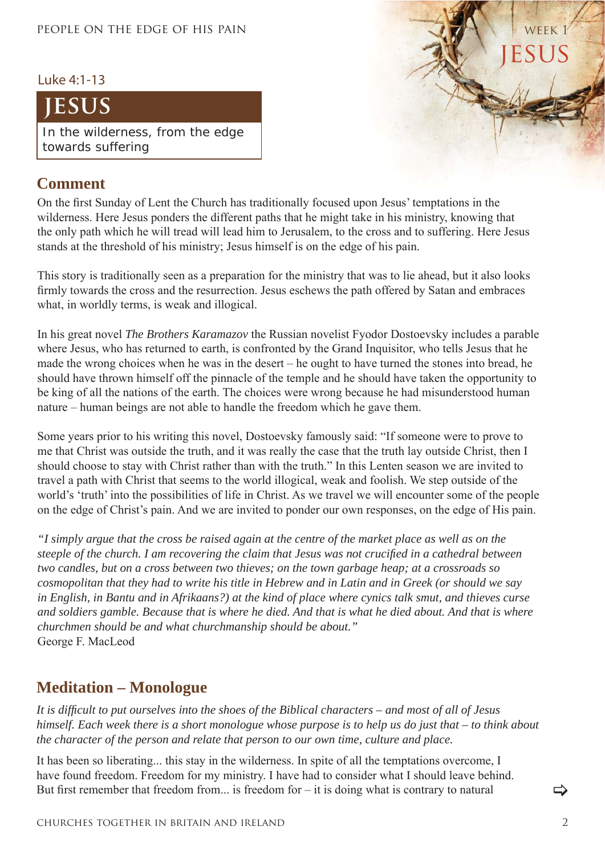#### Luke 4:1-13

### **jesus**

In the wilderness, from the edge towards suffering

#### **Comment**

On the first Sunday of Lent the Church has traditionally focused upon Jesus' temptations in the wilderness. Here Jesus ponders the different paths that he might take in his ministry, knowing that the only path which he will tread will lead him to Jerusalem, to the cross and to suffering. Here Jesus stands at the threshold of his ministry; Jesus himself is on the edge of his pain.

This story is traditionally seen as a preparation for the ministry that was to lie ahead, but it also looks firmly towards the cross and the resurrection. Jesus eschews the path offered by Satan and embraces what, in worldly terms, is weak and illogical.

In his great novel *The Brothers Karamazov* the Russian novelist Fyodor Dostoevsky includes a parable where Jesus, who has returned to earth, is confronted by the Grand Inquisitor, who tells Jesus that he made the wrong choices when he was in the desert – he ought to have turned the stones into bread, he should have thrown himself off the pinnacle of the temple and he should have taken the opportunity to be king of all the nations of the earth. The choices were wrong because he had misunderstood human nature – human beings are not able to handle the freedom which he gave them.

Some years prior to his writing this novel, Dostoevsky famously said: "If someone were to prove to me that Christ was outside the truth, and it was really the case that the truth lay outside Christ, then I should choose to stay with Christ rather than with the truth." In this Lenten season we are invited to travel a path with Christ that seems to the world illogical, weak and foolish. We step outside of the world's 'truth' into the possibilities of life in Christ. As we travel we will encounter some of the people on the edge of Christ's pain. And we are invited to ponder our own responses, on the edge of His pain.

*"I simply argue that the cross be raised again at the centre of the market place as well as on the steeple of the church. I am recovering the claim that Jesus was not crucified in a cathedral between two candles, but on a cross between two thieves; on the town garbage heap; at a crossroads so cosmopolitan that they had to write his title in Hebrew and in Latin and in Greek (or should we say in English, in Bantu and in Afrikaans?) at the kind of place where cynics talk smut, and thieves curse and soldiers gamble. Because that is where he died. And that is what he died about. And that is where churchmen should be and what churchmanship should be about."* George F. MacLeod

#### **Meditation – Monologue**

*It is diffi cult to put ourselves into the shoes of the Biblical characters – and most of all of Jesus himself. Each week there is a short monologue whose purpose is to help us do just that – to think about the character of the person and relate that person to our own time, culture and place.*

It has been so liberating... this stay in the wilderness. In spite of all the temptations overcome, I have found freedom. Freedom for my ministry. I have had to consider what I should leave behind. But first remember that freedom from... is freedom for  $-$  it is doing what is contrary to natural

>

**JESUS** 

WEEK<sub>1</sub>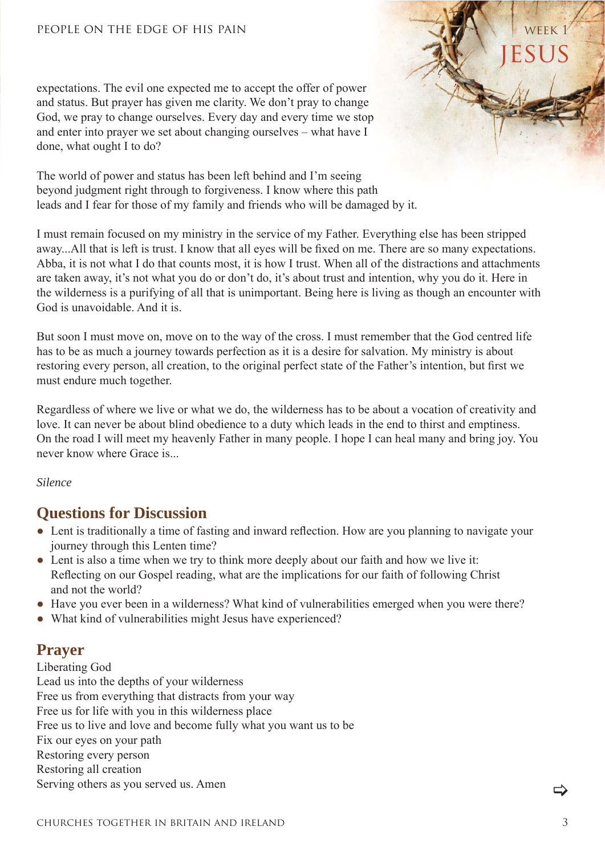expectations. The evil one expected me to accept the offer of power and status. But prayer has given me clarity. We don't pray to change God, we pray to change ourselves. Every day and every time we stop and enter into prayer we set about changing ourselves – what have I done, what ought I to do?

The world of power and status has been left behind and I'm seeing beyond judgment right through to forgiveness. I know where this path leads and I fear for those of my family and friends who will be damaged by it.

I must remain focused on my ministry in the service of my Father. Everything else has been stripped away...All that is left is trust. I know that all eyes will be fixed on me. There are so many expectations. Abba, it is not what I do that counts most, it is how I trust. When all of the distractions and attachments are taken away, it's not what you do or don't do, it's about trust and intention, why you do it. Here in the wilderness is a purifying of all that is unimportant. Being here is living as though an encounter with God is unavoidable. And it is.

But soon I must move on, move on to the way of the cross. I must remember that the God centred life has to be as much a journey towards perfection as it is a desire for salvation. My ministry is about restoring every person, all creation, to the original perfect state of the Father's intention, but first we must endure much together.

Regardless of where we live or what we do, the wilderness has to be about a vocation of creativity and love. It can never be about blind obedience to a duty which leads in the end to thirst and emptiness. On the road I will meet my heavenly Father in many people. I hope I can heal many and bring joy. You never know where Grace is.

*Silence*

#### **Questions for Discussion**

- Lent is traditionally a time of fasting and inward reflection. How are you planning to navigate your journey through this Lenten time?
- Lent is also a time when we try to think more deeply about our faith and how we live it: Reflecting on our Gospel reading, what are the implications for our faith of following Christ and not the world?
- Have you ever been in a wilderness? What kind of vulnerabilities emerged when you were there?
- What kind of vulnerabilities might Jesus have experienced?

#### **Prayer**

Liberating God Lead us into the depths of your wilderness Free us from everything that distracts from your way Free us for life with you in this wilderness place Free us to live and love and become fully what you want us to be Fix our eyes on your path Restoring every person Restoring all creation Serving others as you served us. Amen

>

**JESUS** 

WFFK<sub>1</sub>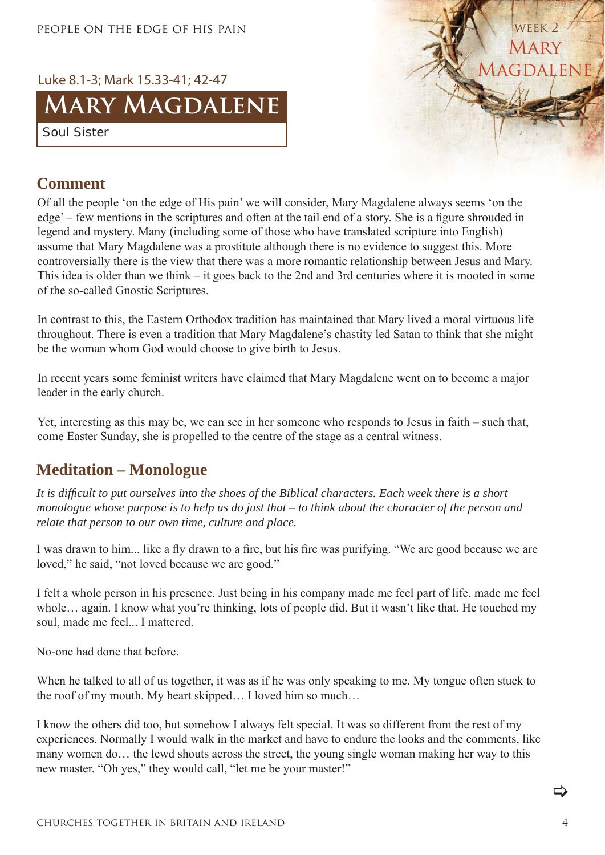

#### **Comment**

Of all the people 'on the edge of His pain' we will consider, Mary Magdalene always seems 'on the edge' – few mentions in the scriptures and often at the tail end of a story. She is a figure shrouded in legend and mystery. Many (including some of those who have translated scripture into English) assume that Mary Magdalene was a prostitute although there is no evidence to suggest this. More controversially there is the view that there was a more romantic relationship between Jesus and Mary. This idea is older than we think – it goes back to the 2nd and 3rd centuries where it is mooted in some of the so-called Gnostic Scriptures.

In contrast to this, the Eastern Orthodox tradition has maintained that Mary lived a moral virtuous life throughout. There is even a tradition that Mary Magdalene's chastity led Satan to think that she might be the woman whom God would choose to give birth to Jesus.

In recent years some feminist writers have claimed that Mary Magdalene went on to become a major leader in the early church.

Yet, interesting as this may be, we can see in her someone who responds to Jesus in faith – such that, come Easter Sunday, she is propelled to the centre of the stage as a central witness.

#### **Meditation – Monologue**

*It is diffi cult to put ourselves into the shoes of the Biblical characters. Each week there is a short monologue whose purpose is to help us do just that – to think about the character of the person and relate that person to our own time, culture and place.*

I was drawn to him... like a fly drawn to a fire, but his fire was purifying. "We are good because we are loved," he said, "not loved because we are good."

I felt a whole person in his presence. Just being in his company made me feel part of life, made me feel whole... again. I know what you're thinking, lots of people did. But it wasn't like that. He touched my soul, made me feel... I mattered.

No-one had done that before.

When he talked to all of us together, it was as if he was only speaking to me. My tongue often stuck to the roof of my mouth. My heart skipped… I loved him so much…

I know the others did too, but somehow I always felt special. It was so different from the rest of my experiences. Normally I would walk in the market and have to endure the looks and the comments, like many women do… the lewd shouts across the street, the young single woman making her way to this new master. "Oh yes," they would call, "let me be your master!"

 $\Rightarrow$ 

**MARY** 

WEEK<sub>2</sub>

**MAGDALENE**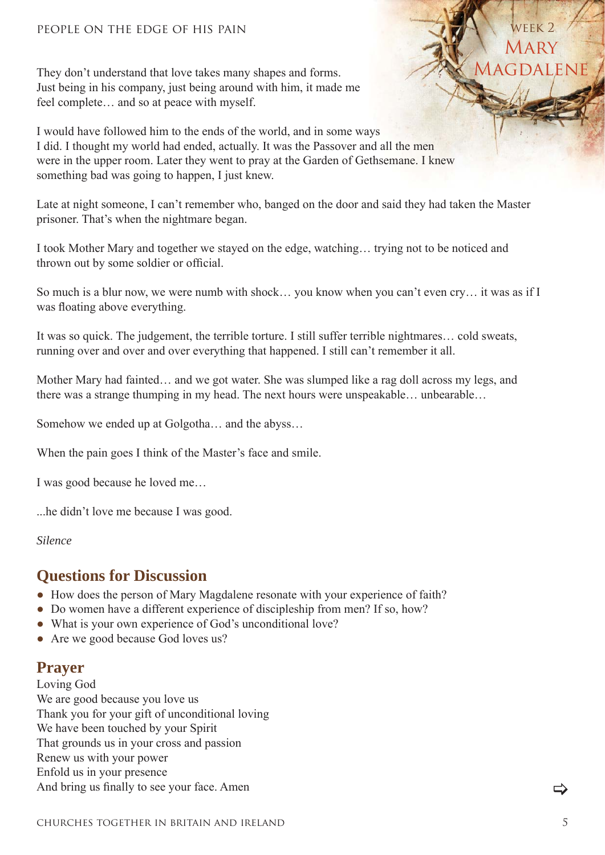They don't understand that love takes many shapes and forms. Just being in his company, just being around with him, it made me feel complete… and so at peace with myself.

I would have followed him to the ends of the world, and in some ways I did. I thought my world had ended, actually. It was the Passover and all the men were in the upper room. Later they went to pray at the Garden of Gethsemane. I knew something bad was going to happen, I just knew.

Late at night someone, I can't remember who, banged on the door and said they had taken the Master prisoner. That's when the nightmare began.

I took Mother Mary and together we stayed on the edge, watching… trying not to be noticed and thrown out by some soldier or official.

So much is a blur now, we were numb with shock… you know when you can't even cry… it was as if I was floating above everything.

It was so quick. The judgement, the terrible torture. I still suffer terrible nightmares… cold sweats, running over and over and over everything that happened. I still can't remember it all.

Mother Mary had fainted… and we got water. She was slumped like a rag doll across my legs, and there was a strange thumping in my head. The next hours were unspeakable… unbearable…

Somehow we ended up at Golgotha… and the abyss…

When the pain goes I think of the Master's face and smile.

I was good because he loved me…

...he didn't love me because I was good.

*Silence*

#### **Questions for Discussion**

- How does the person of Mary Magdalene resonate with your experience of faith?
- Do women have a different experience of discipleship from men? If so, how?
- What is your own experience of God's unconditional love?
- Are we good because God loves us?

#### **Prayer**

Loving God We are good because you love us Thank you for your gift of unconditional loving We have been touched by your Spirit That grounds us in your cross and passion Renew us with your power Enfold us in your presence And bring us finally to see your face. Amen

>

**MARY** 

WEEK<sub>2</sub>

**MAGDALENE**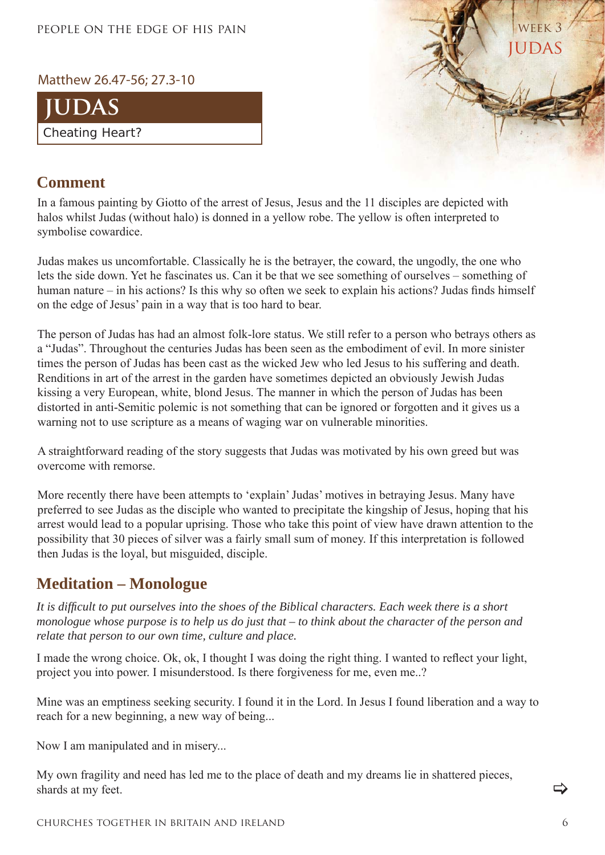#### Matthew 26.47-56; 27.3-10



#### **Comment**

In a famous painting by Giotto of the arrest of Jesus, Jesus and the 11 disciples are depicted with halos whilst Judas (without halo) is donned in a yellow robe. The yellow is often interpreted to symbolise cowardice.

Judas makes us uncomfortable. Classically he is the betrayer, the coward, the ungodly, the one who lets the side down. Yet he fascinates us. Can it be that we see something of ourselves – something of human nature – in his actions? Is this why so often we seek to explain his actions? Judas finds himself on the edge of Jesus' pain in a way that is too hard to bear.

The person of Judas has had an almost folk-lore status. We still refer to a person who betrays others as a "Judas". Throughout the centuries Judas has been seen as the embodiment of evil. In more sinister times the person of Judas has been cast as the wicked Jew who led Jesus to his suffering and death. Renditions in art of the arrest in the garden have sometimes depicted an obviously Jewish Judas kissing a very European, white, blond Jesus. The manner in which the person of Judas has been distorted in anti-Semitic polemic is not something that can be ignored or forgotten and it gives us a warning not to use scripture as a means of waging war on vulnerable minorities.

A straightforward reading of the story suggests that Judas was motivated by his own greed but was overcome with remorse.

More recently there have been attempts to 'explain' Judas' motives in betraying Jesus. Many have preferred to see Judas as the disciple who wanted to precipitate the kingship of Jesus, hoping that his arrest would lead to a popular uprising. Those who take this point of view have drawn attention to the possibility that 30 pieces of silver was a fairly small sum of money. If this interpretation is followed then Judas is the loyal, but misguided, disciple.

#### **Meditation – Monologue**

*It is diffi cult to put ourselves into the shoes of the Biblical characters. Each week there is a short monologue whose purpose is to help us do just that – to think about the character of the person and relate that person to our own time, culture and place.*

I made the wrong choice. Ok, ok, I thought I was doing the right thing. I wanted to reflect your light, project you into power. I misunderstood. Is there forgiveness for me, even me..?

Mine was an emptiness seeking security. I found it in the Lord. In Jesus I found liberation and a way to reach for a new beginning, a new way of being...

Now I am manipulated and in misery...

My own fragility and need has led me to the place of death and my dreams lie in shattered pieces, shards at my feet.

>

judas

week 3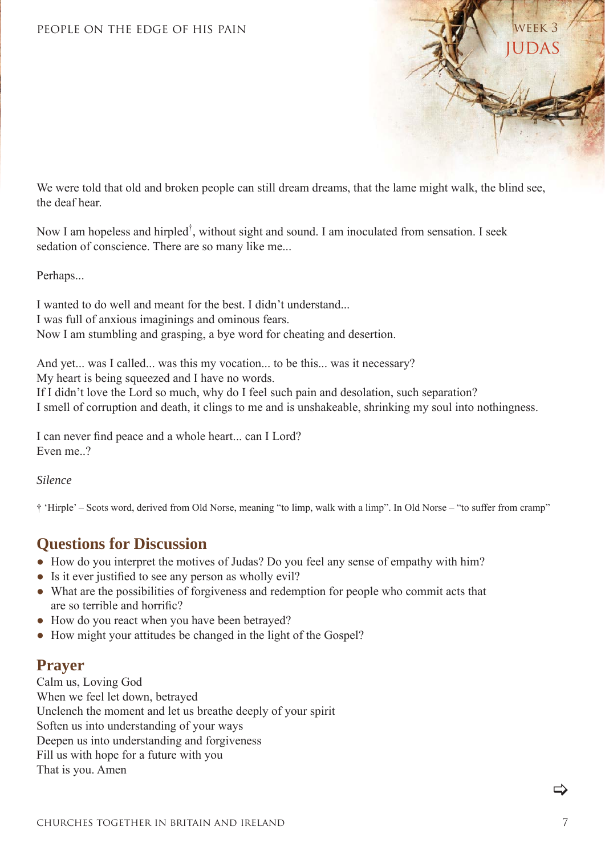

We were told that old and broken people can still dream dreams, that the lame might walk, the blind see, the deaf hear.

Now I am hopeless and hirpled<sup>†</sup>, without sight and sound. I am inoculated from sensation. I seek sedation of conscience. There are so many like me...

Perhaps...

I wanted to do well and meant for the best. I didn't understand... I was full of anxious imaginings and ominous fears. Now I am stumbling and grasping, a bye word for cheating and desertion.

And yet... was I called... was this my vocation... to be this... was it necessary? My heart is being squeezed and I have no words. If I didn't love the Lord so much, why do I feel such pain and desolation, such separation? I smell of corruption and death, it clings to me and is unshakeable, shrinking my soul into nothingness.

I can never find peace and a whole heart... can I Lord? Even me. ?

*Silence*

† 'Hirple' – Scots word, derived from Old Norse, meaning "to limp, walk with a limp". In Old Norse – "to suffer from cramp"

#### **Questions for Discussion**

- How do you interpret the motives of Judas? Do you feel any sense of empathy with him?
- Is it ever justified to see any person as wholly evil?
- What are the possibilities of forgiveness and redemption for people who commit acts that are so terrible and horrific?
- How do you react when you have been betrayed?
- How might your attitudes be changed in the light of the Gospel?

#### **Prayer**

Calm us, Loving God When we feel let down, betrayed Unclench the moment and let us breathe deeply of your spirit Soften us into understanding of your ways Deepen us into understanding and forgiveness Fill us with hope for a future with you That is you. Amen

 $\Rightarrow$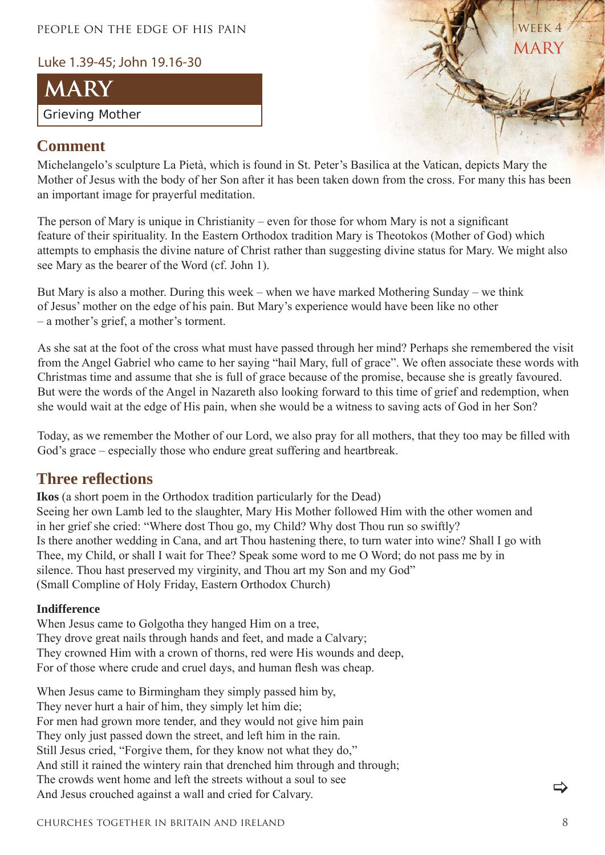Luke 1.39-45; John 19.16-30





#### **Comment**

Michelangelo's sculpture La Pietà, which is found in St. Peter's Basilica at the Vatican, depicts Mary the Mother of Jesus with the body of her Son after it has been taken down from the cross. For many this has been an important image for prayerful meditation.

The person of Mary is unique in Christianity – even for those for whom Mary is not a significant feature of their spirituality. In the Eastern Orthodox tradition Mary is Theotokos (Mother of God) which attempts to emphasis the divine nature of Christ rather than suggesting divine status for Mary. We might also see Mary as the bearer of the Word (cf. John 1).

But Mary is also a mother. During this week – when we have marked Mothering Sunday – we think of Jesus' mother on the edge of his pain. But Mary's experience would have been like no other – a mother's grief, a mother's torment.

As she sat at the foot of the cross what must have passed through her mind? Perhaps she remembered the visit from the Angel Gabriel who came to her saying "hail Mary, full of grace". We often associate these words with Christmas time and assume that she is full of grace because of the promise, because she is greatly favoured. But were the words of the Angel in Nazareth also looking forward to this time of grief and redemption, when she would wait at the edge of His pain, when she would be a witness to saving acts of God in her Son?

Today, as we remember the Mother of our Lord, we also pray for all mothers, that they too may be filled with God's grace – especially those who endure great suffering and heartbreak.

#### **Three refl ections**

**Ikos** (a short poem in the Orthodox tradition particularly for the Dead) Seeing her own Lamb led to the slaughter, Mary His Mother followed Him with the other women and in her grief she cried: "Where dost Thou go, my Child? Why dost Thou run so swiftly? Is there another wedding in Cana, and art Thou hastening there, to turn water into wine? Shall I go with Thee, my Child, or shall I wait for Thee? Speak some word to me O Word; do not pass me by in silence. Thou hast preserved my virginity, and Thou art my Son and my God" (Small Compline of Holy Friday, Eastern Orthodox Church)

#### **Indifference**

When Jesus came to Golgotha they hanged Him on a tree, They drove great nails through hands and feet, and made a Calvary; They crowned Him with a crown of thorns, red were His wounds and deep, For of those where crude and cruel days, and human flesh was cheap.

When Jesus came to Birmingham they simply passed him by, They never hurt a hair of him, they simply let him die; For men had grown more tender, and they would not give him pain They only just passed down the street, and left him in the rain. Still Jesus cried, "Forgive them, for they know not what they do," And still it rained the wintery rain that drenched him through and through; The crowds went home and left the streets without a soul to see And Jesus crouched against a wall and cried for Calvary.

>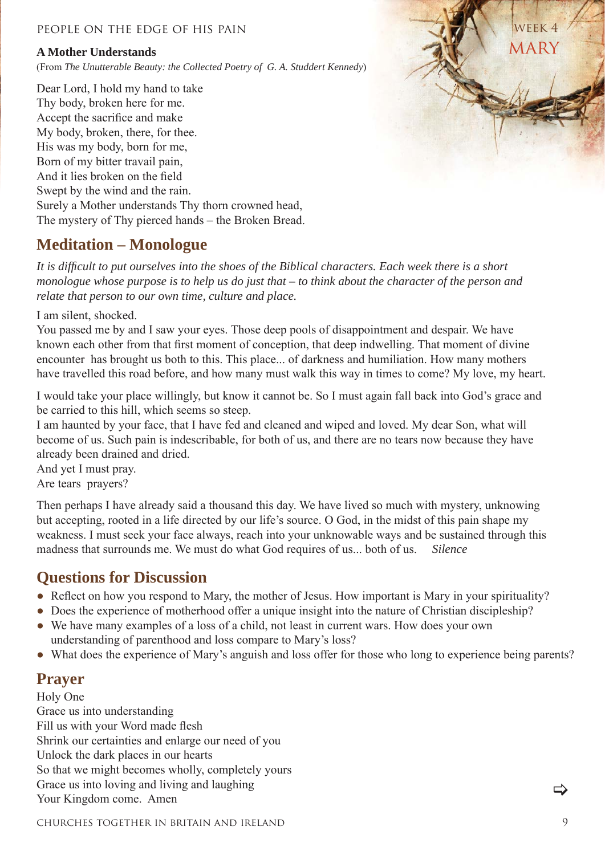#### **A Mother Understands**

(From *The Unutterable Beauty: the Collected Poetry of G. A. Studdert Kennedy*)

Dear Lord, I hold my hand to take Thy body, broken here for me. Accept the sacrifice and make My body, broken, there, for thee. His was my body, born for me, Born of my bitter travail pain, And it lies broken on the field Swept by the wind and the rain. Surely a Mother understands Thy thorn crowned head, The mystery of Thy pierced hands – the Broken Bread.

#### **Meditation – Monologue**

*It is diffi cult to put ourselves into the shoes of the Biblical characters. Each week there is a short monologue whose purpose is to help us do just that – to think about the character of the person and relate that person to our own time, culture and place.*

I am silent, shocked.

You passed me by and I saw your eyes. Those deep pools of disappointment and despair. We have known each other from that first moment of conception, that deep indwelling. That moment of divine encounter has brought us both to this. This place... of darkness and humiliation. How many mothers have travelled this road before, and how many must walk this way in times to come? My love, my heart.

I would take your place willingly, but know it cannot be. So I must again fall back into God's grace and be carried to this hill, which seems so steep.

I am haunted by your face, that I have fed and cleaned and wiped and loved. My dear Son, what will become of us. Such pain is indescribable, for both of us, and there are no tears now because they have already been drained and dried.

And yet I must pray. Are tears prayers?

Then perhaps I have already said a thousand this day. We have lived so much with mystery, unknowing but accepting, rooted in a life directed by our life's source. O God, in the midst of this pain shape my weakness. I must seek your face always, reach into your unknowable ways and be sustained through this madness that surrounds me. We must do what God requires of us... both of us. *Silence*

#### **Questions for Discussion**

- Reflect on how you respond to Mary, the mother of Jesus. How important is Mary in your spirituality?
- Does the experience of motherhood offer a unique insight into the nature of Christian discipleship?
- We have many examples of a loss of a child, not least in current wars. How does your own understanding of parenthood and loss compare to Mary's loss?
- What does the experience of Mary's anguish and loss offer for those who long to experience being parents?

#### **Prayer**

Holy One Grace us into understanding Fill us with your Word made flesh Shrink our certainties and enlarge our need of you Unlock the dark places in our hearts So that we might becomes wholly, completely yours Grace us into loving and living and laughing Your Kingdom come. Amen

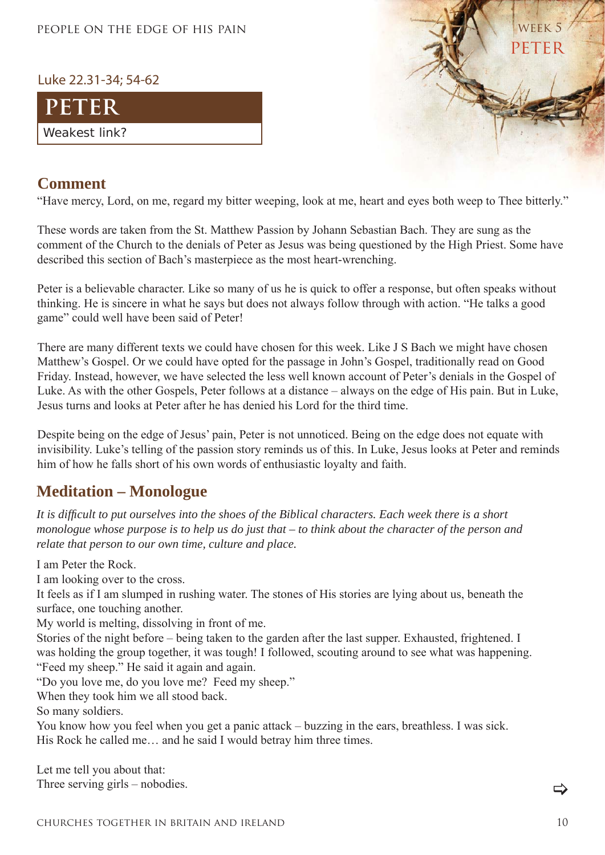#### Luke 22.31-34; 54-62





#### **Comment**

"Have mercy, Lord, on me, regard my bitter weeping, look at me, heart and eyes both weep to Thee bitterly."

These words are taken from the St. Matthew Passion by Johann Sebastian Bach. They are sung as the comment of the Church to the denials of Peter as Jesus was being questioned by the High Priest. Some have described this section of Bach's masterpiece as the most heart-wrenching.

Peter is a believable character. Like so many of us he is quick to offer a response, but often speaks without thinking. He is sincere in what he says but does not always follow through with action. "He talks a good game" could well have been said of Peter!

There are many different texts we could have chosen for this week. Like J S Bach we might have chosen Matthew's Gospel. Or we could have opted for the passage in John's Gospel, traditionally read on Good Friday. Instead, however, we have selected the less well known account of Peter's denials in the Gospel of Luke. As with the other Gospels, Peter follows at a distance – always on the edge of His pain. But in Luke, Jesus turns and looks at Peter after he has denied his Lord for the third time.

Despite being on the edge of Jesus' pain, Peter is not unnoticed. Being on the edge does not equate with invisibility. Luke's telling of the passion story reminds us of this. In Luke, Jesus looks at Peter and reminds him of how he falls short of his own words of enthusiastic loyalty and faith.

#### **Meditation – Monologue**

*It is diffi cult to put ourselves into the shoes of the Biblical characters. Each week there is a short monologue whose purpose is to help us do just that – to think about the character of the person and relate that person to our own time, culture and place.*

I am Peter the Rock.

I am looking over to the cross.

It feels as if I am slumped in rushing water. The stones of His stories are lying about us, beneath the surface, one touching another.

My world is melting, dissolving in front of me.

Stories of the night before – being taken to the garden after the last supper. Exhausted, frightened. I was holding the group together, it was tough! I followed, scouting around to see what was happening. "Feed my sheep." He said it again and again.

"Do you love me, do you love me? Feed my sheep."

When they took him we all stood back.

So many soldiers.

You know how you feel when you get a panic attack – buzzing in the ears, breathless. I was sick. His Rock he called me... and he said I would betray him three times.

Let me tell you about that: Three serving girls – nobodies.

⇔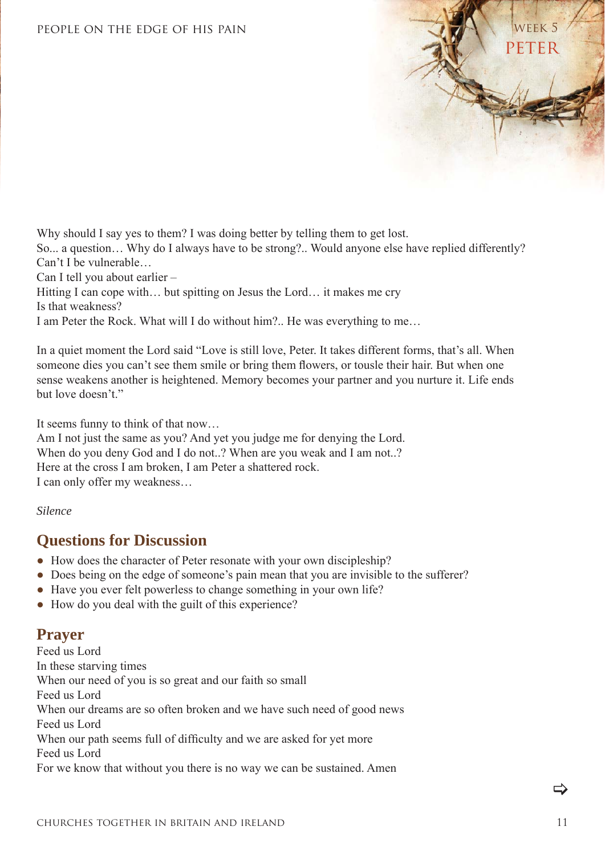

Why should I say yes to them? I was doing better by telling them to get lost. So... a question… Why do I always have to be strong?.. Would anyone else have replied differently? Can't I be vulnerable… Can I tell you about earlier – Hitting I can cope with… but spitting on Jesus the Lord… it makes me cry Is that weakness?

I am Peter the Rock. What will I do without him?.. He was everything to me…

In a quiet moment the Lord said "Love is still love, Peter. It takes different forms, that's all. When someone dies you can't see them smile or bring them flowers, or tousle their hair. But when one sense weakens another is heightened. Memory becomes your partner and you nurture it. Life ends but love doesn't."

It seems funny to think of that now…

Am I not just the same as you? And yet you judge me for denying the Lord. When do you deny God and I do not..? When are you weak and I am not..? Here at the cross I am broken, I am Peter a shattered rock. I can only offer my weakness…

*Silence*

#### **Questions for Discussion**

- How does the character of Peter resonate with your own discipleship?
- Does being on the edge of someone's pain mean that you are invisible to the sufferer?
- Have you ever felt powerless to change something in your own life?
- How do you deal with the guilt of this experience?

#### **Prayer**

Feed us Lord In these starving times When our need of you is so great and our faith so small Feed us Lord When our dreams are so often broken and we have such need of good news Feed us Lord When our path seems full of difficulty and we are asked for yet more Feed us Lord For we know that without you there is no way we can be sustained. Amen

 $\Rightarrow$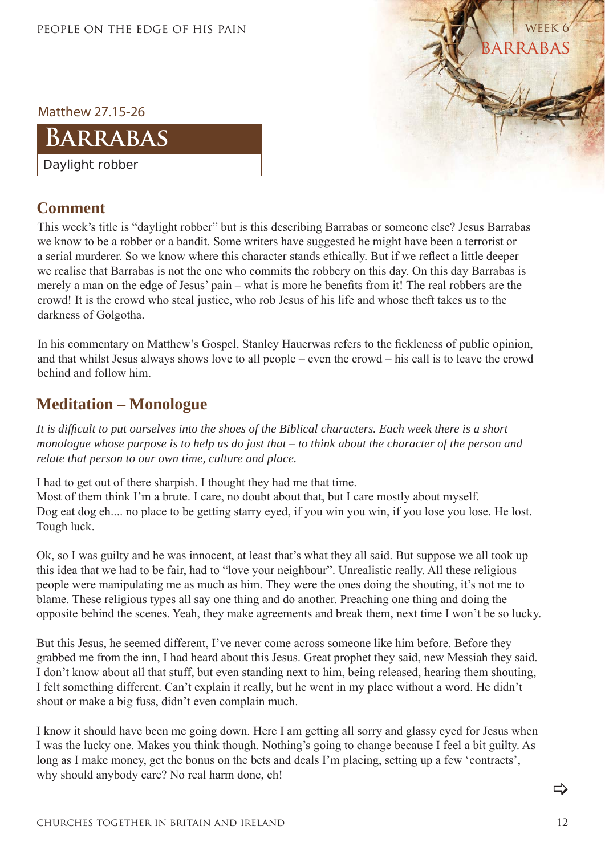**ARRABAS** WEEK<sub>6</sub>

Matthew 27.15-26

## **Barrabas**

Daylight robber

#### **Comment**

This week's title is "daylight robber" but is this describing Barrabas or someone else? Jesus Barrabas we know to be a robber or a bandit. Some writers have suggested he might have been a terrorist or a serial murderer. So we know where this character stands ethically. But if we reflect a little deeper we realise that Barrabas is not the one who commits the robbery on this day. On this day Barrabas is merely a man on the edge of Jesus' pain – what is more he benefits from it! The real robbers are the crowd! It is the crowd who steal justice, who rob Jesus of his life and whose theft takes us to the darkness of Golgotha.

In his commentary on Matthew's Gospel, Stanley Hauerwas refers to the fickleness of public opinion, and that whilst Jesus always shows love to all people – even the crowd – his call is to leave the crowd behind and follow him.

#### **Meditation – Monologue**

*It is diffi cult to put ourselves into the shoes of the Biblical characters. Each week there is a short monologue whose purpose is to help us do just that – to think about the character of the person and relate that person to our own time, culture and place.*

I had to get out of there sharpish. I thought they had me that time.

Most of them think I'm a brute. I care, no doubt about that, but I care mostly about myself. Dog eat dog eh.... no place to be getting starry eyed, if you win you win, if you lose you lose. He lost. Tough luck.

Ok, so I was guilty and he was innocent, at least that's what they all said. But suppose we all took up this idea that we had to be fair, had to "love your neighbour". Unrealistic really. All these religious people were manipulating me as much as him. They were the ones doing the shouting, it's not me to blame. These religious types all say one thing and do another. Preaching one thing and doing the opposite behind the scenes. Yeah, they make agreements and break them, next time I won't be so lucky.

But this Jesus, he seemed different, I've never come across someone like him before. Before they grabbed me from the inn, I had heard about this Jesus. Great prophet they said, new Messiah they said. I don't know about all that stuff, but even standing next to him, being released, hearing them shouting, I felt something different. Can't explain it really, but he went in my place without a word. He didn't shout or make a big fuss, didn't even complain much.

I know it should have been me going down. Here I am getting all sorry and glassy eyed for Jesus when I was the lucky one. Makes you think though. Nothing's going to change because I feel a bit guilty. As long as I make money, get the bonus on the bets and deals I'm placing, setting up a few 'contracts', why should anybody care? No real harm done, eh!